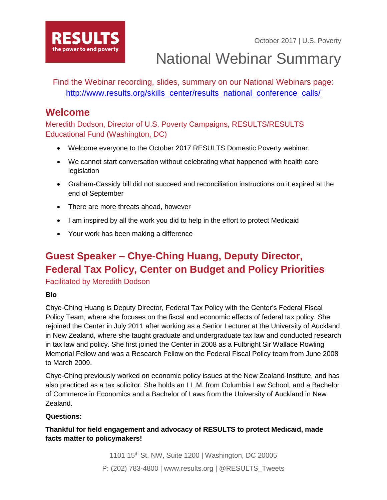October 2017 | U.S. Poverty



National Webinar Summary

Find the Webinar recording, slides, summary on our National Webinars page: [http://www.results.org/skills\\_center/results\\_national\\_conference\\_calls/](http://www.results.org/skills_center/results_national_conference_calls/)

## **Welcome**

Meredith Dodson, Director of U.S. Poverty Campaigns, RESULTS/RESULTS Educational Fund (Washington, DC)

- Welcome everyone to the October 2017 RESULTS Domestic Poverty webinar.
- We cannot start conversation without celebrating what happened with health care legislation
- Graham-Cassidy bill did not succeed and reconciliation instructions on it expired at the end of September
- There are more threats ahead, however
- I am inspired by all the work you did to help in the effort to protect Medicaid
- Your work has been making a difference

# **Guest Speaker – Chye-Ching Huang, Deputy Director, Federal Tax Policy, Center on Budget and Policy Priorities**

Facilitated by Meredith Dodson

### **Bio**

Chye-Ching Huang is Deputy Director, Federal Tax Policy with the Center's Federal Fiscal Policy Team, where she focuses on the fiscal and economic effects of federal tax policy. She rejoined the Center in July 2011 after working as a Senior Lecturer at the University of Auckland in New Zealand, where she taught graduate and undergraduate tax law and conducted research in tax law and policy. She first joined the Center in 2008 as a Fulbright Sir Wallace Rowling Memorial Fellow and was a Research Fellow on the Federal Fiscal Policy team from June 2008 to March 2009.

Chye-Ching previously worked on economic policy issues at the New Zealand Institute, and has also practiced as a tax solicitor. She holds an LL.M. from Columbia Law School, and a Bachelor of Commerce in Economics and a Bachelor of Laws from the University of Auckland in New Zealand.

### **Questions:**

**Thankful for field engagement and advocacy of RESULTS to protect Medicaid, made facts matter to policymakers!**

> 1101 15th St. NW, Suite 1200 | Washington, DC 20005 P: (202) 783-4800 | www.results.org | @RESULTS\_Tweets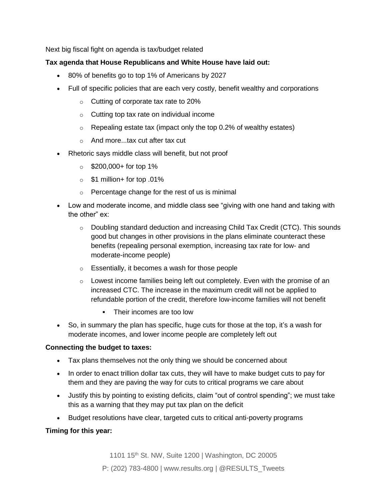Next big fiscal fight on agenda is tax/budget related

#### **Tax agenda that House Republicans and White House have laid out:**

- 80% of benefits go to top 1% of Americans by 2027
- Full of specific policies that are each very costly, benefit wealthy and corporations
	- o Cutting of corporate tax rate to 20%
	- $\circ$  Cutting top tax rate on individual income
	- $\circ$  Repealing estate tax (impact only the top 0.2% of wealthy estates)
	- o And more...tax cut after tax cut
- Rhetoric says middle class will benefit, but not proof
	- $\circ$  \$200,000+ for top 1%
	- $\circ$  \$1 million + for top .01%
	- o Percentage change for the rest of us is minimal
- Low and moderate income, and middle class see "giving with one hand and taking with the other" ex:
	- $\circ$  Doubling standard deduction and increasing Child Tax Credit (CTC). This sounds good but changes in other provisions in the plans eliminate counteract these benefits (repealing personal exemption, increasing tax rate for low- and moderate-income people)
	- $\circ$  Essentially, it becomes a wash for those people
	- o Lowest income families being left out completely. Even with the promise of an increased CTC. The increase in the maximum credit will not be applied to refundable portion of the credit, therefore low-income families will not benefit
		- Their incomes are too low
- So, in summary the plan has specific, huge cuts for those at the top, it's a wash for moderate incomes, and lower income people are completely left out

#### **Connecting the budget to taxes:**

- Tax plans themselves not the only thing we should be concerned about
- In order to enact trillion dollar tax cuts, they will have to make budget cuts to pay for them and they are paving the way for cuts to critical programs we care about
- Justify this by pointing to existing deficits, claim "out of control spending"; we must take this as a warning that they may put tax plan on the deficit
- Budget resolutions have clear, targeted cuts to critical anti-poverty programs

#### **Timing for this year:**

1101 15th St. NW, Suite 1200 | Washington, DC 20005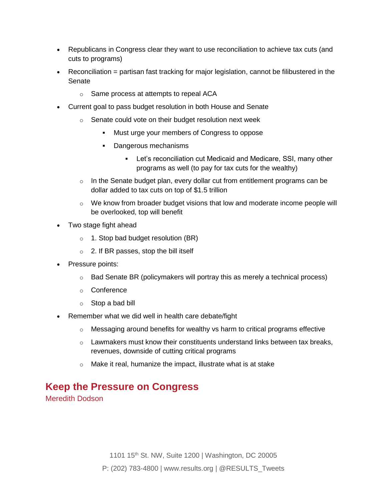- Republicans in Congress clear they want to use reconciliation to achieve tax cuts (and cuts to programs)
- Reconciliation = partisan fast tracking for major legislation, cannot be filibustered in the Senate
	- o Same process at attempts to repeal ACA
- Current goal to pass budget resolution in both House and Senate
	- o Senate could vote on their budget resolution next week
		- Must urge your members of Congress to oppose
		- Dangerous mechanisms
			- **EXECT** Let's reconciliation cut Medicaid and Medicare, SSI, many other programs as well (to pay for tax cuts for the wealthy)
	- $\circ$  In the Senate budget plan, every dollar cut from entitlement programs can be dollar added to tax cuts on top of \$1.5 trillion
	- $\circ$  We know from broader budget visions that low and moderate income people will be overlooked, top will benefit
- Two stage fight ahead
	- $\circ$  1. Stop bad budget resolution (BR)
	- $\circ$  2. If BR passes, stop the bill itself
- Pressure points:
	- $\circ$  Bad Senate BR (policymakers will portray this as merely a technical process)
	- o Conference
	- o Stop a bad bill
- Remember what we did well in health care debate/fight
	- $\circ$  Messaging around benefits for wealthy vs harm to critical programs effective
	- $\circ$  Lawmakers must know their constituents understand links between tax breaks, revenues, downside of cutting critical programs
	- o Make it real, humanize the impact, illustrate what is at stake

# **Keep the Pressure on Congress**

Meredith Dodson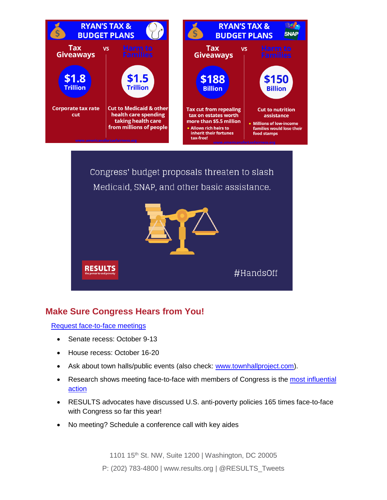



### **Make Sure Congress Hears from You!**

[Request face-to-face meetings](https://www.votervoice.net/RESULTS/campaigns/54043/respond)

- Senate recess: October 9-13
- House recess: October 16-20
- Ask about town halls/public events (also check: [www.townhallproject.com\)](http://www.townhallproject.com/).
- Research shows meeting face-to-face with members of Congress is the most influential [action](http://www.congressfoundation.org/projects/communicating-with-congress/citizen-centric-advocacy-2017)
- RESULTS advocates have discussed U.S. anti-poverty policies 165 times face-to-face with Congress so far this year!
- No meeting? Schedule a conference call with key aides

1101 15<sup>th</sup> St. NW, Suite 1200 | Washington, DC 20005

P: (202) 783-4800 | www.results.org | @RESULTS\_Tweets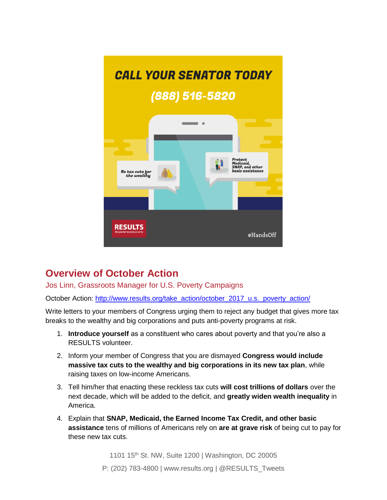

# **Overview of October Action**

Jos Linn, Grassroots Manager for U.S. Poverty Campaigns

October Action: [http://www.results.org/take\\_action/october\\_2017\\_u.s.\\_poverty\\_action/](http://www.results.org/take_action/october_2017_u.s._poverty_action/)

Write letters to your members of Congress urging them to reject any budget that gives more tax breaks to the wealthy and big corporations and puts anti-poverty programs at risk.

- 1. **Introduce yourself** as a constituent who cares about poverty and that you're also a RESULTS volunteer.
- 2. Inform your member of Congress that you are dismayed **Congress would include massive tax cuts to the wealthy and big corporations in its new tax plan**, while raising taxes on low-income Americans.
- 3. Tell him/her that enacting these reckless tax cuts **will cost trillions of dollars** over the next decade, which will be added to the deficit, and **greatly widen wealth inequality** in America.
- 4. Explain that **SNAP, Medicaid, the Earned Income Tax Credit, and other basic assistance** tens of millions of Americans rely on **are at grave risk** of being cut to pay for these new tax cuts.

1101 15th St. NW, Suite 1200 | Washington, DC 20005 P: (202) 783-4800 | www.results.org | @RESULTS\_Tweets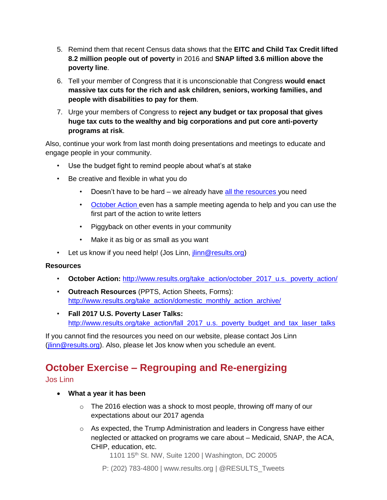- 5. Remind them that recent Census data shows that the **EITC and Child Tax Credit lifted 8.2 million people out of poverty** in 2016 and **SNAP lifted 3.6 million above the poverty line**.
- 6. Tell your member of Congress that it is unconscionable that Congress **would enact massive tax cuts for the rich and ask children, seniors, working families, and people with disabilities to pay for them**.
- 7. Urge your members of Congress to **reject any budget or tax proposal that gives huge tax cuts to the wealthy and big corporations and put core anti-poverty programs at risk**.

Also, continue your work from last month doing presentations and meetings to educate and engage people in your community.

- Use the budget fight to remind people about what's at stake
- Be creative and flexible in what you do
	- Doesn't have to be hard we already have [all the resources y](http://www.results.org/take_action/domestic_monthly_action_archive/)ou need
	- [October Action e](http://www.results.org/take_action/october_2017_u.s._poverty_action/)ven has a sample meeting agenda to help and you can use the first part of the action to write letters
	- Piggyback on other events in your community
	- Make it as big or as small as you want
- Let us know if you need help! (Jos Linn, [jlinn@results.org\)](mailto:jlinn@results.org)

#### **Resources**

- **October Action:** [http://www.results.org/take\\_action/october\\_2017\\_u.s.\\_poverty\\_action/](http://www.results.org/take_action/october_2017_u.s._poverty_action/)
- **Outreach Resources** (PPTS, Action Sheets, Forms): [http://www.results.org/take\\_action/domestic\\_monthly\\_action\\_archive/](http://www.results.org/take_action/domestic_monthly_action_archive/)
- **Fall 2017 U.S. Poverty Laser Talks:** [http://www.results.org/take\\_action/fall\\_2017\\_u.s.\\_poverty\\_budget\\_and\\_tax\\_laser\\_talks](http://www.results.org/take_action/fall_2017_u.s._poverty_budget_and_tax_laser_talks)

If you cannot find the resources you need on our website, please contact Jos Linn [\(jlinn@results.org\)](mailto:jlinn@results.org). Also, please let Jos know when you schedule an event.

# **October Exercise – Regrouping and Re-energizing**

### Jos Linn

- **What a year it has been**
	- o The 2016 election was a shock to most people, throwing off many of our expectations about our 2017 agenda
	- $\circ$  As expected, the Trump Administration and leaders in Congress have either neglected or attacked on programs we care about – Medicaid, SNAP, the ACA, CHIP, education, etc.

1101 15th St. NW, Suite 1200 | Washington, DC 20005

P: (202) 783-4800 | www.results.org | @RESULTS\_Tweets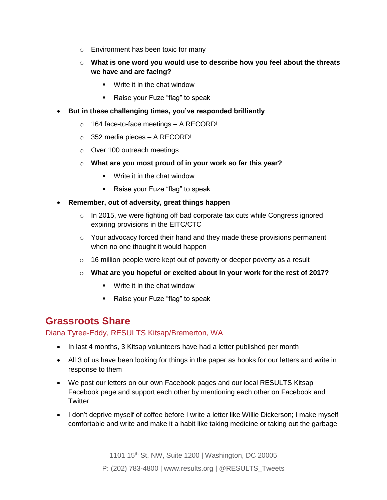- o Environment has been toxic for many
- o **What is one word you would use to describe how you feel about the threats we have and are facing?**
	- Write it in the chat window
	- Raise your Fuze "flag" to speak
- **But in these challenging times, you've responded brilliantly**
	- o 164 face-to-face meetings A RECORD!
	- o 352 media pieces A RECORD!
	- o Over 100 outreach meetings
	- o **What are you most proud of in your work so far this year?**
		- Write it in the chat window
		- Raise your Fuze "flag" to speak
- **Remember, out of adversity, great things happen**
	- o In 2015, we were fighting off bad corporate tax cuts while Congress ignored expiring provisions in the EITC/CTC
	- $\circ$  Your advocacy forced their hand and they made these provisions permanent *when no one thought it would happen*
	- o 16 million people were kept out of poverty or deeper poverty as a result
	- o **What are you hopeful or excited about in your work for the rest of 2017?**
		- Write it in the chat window
		- Raise your Fuze "flag" to speak

## **Grassroots Share**

### Diana Tyree-Eddy, RESULTS Kitsap/Bremerton, WA

- In last 4 months, 3 Kitsap volunteers have had a letter published per month
- All 3 of us have been looking for things in the paper as hooks for our letters and write in response to them
- We post our letters on our own Facebook pages and our local RESULTS Kitsap Facebook page and support each other by mentioning each other on Facebook and **Twitter**
- I don't deprive myself of coffee before I write a letter like Willie Dickerson; I make myself comfortable and write and make it a habit like taking medicine or taking out the garbage

1101 15th St. NW, Suite 1200 | Washington, DC 20005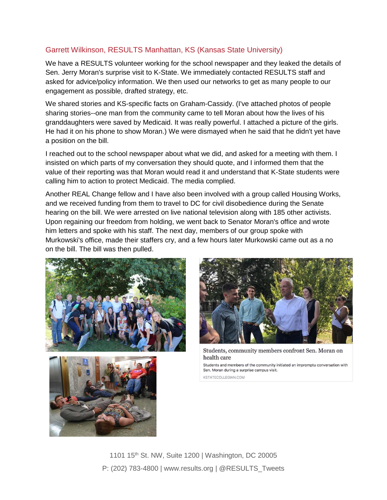### Garrett Wilkinson, RESULTS Manhattan, KS (Kansas State University)

We have a RESULTS volunteer working for the school newspaper and they leaked the details of Sen. Jerry Moran's surprise visit to K-State. We immediately contacted RESULTS staff and asked for advice/policy information. We then used our networks to get as many people to our engagement as possible, drafted strategy, etc.

We shared stories and KS-specific facts on Graham-Cassidy. (I've attached photos of people sharing stories--one man from the community came to tell Moran about how the lives of his granddaughters were saved by Medicaid. It was really powerful. I attached a picture of the girls. He had it on his phone to show Moran.) We were dismayed when he said that he didn't yet have a position on the bill.

I reached out to the school newspaper about what we did, and asked for a meeting with them. I insisted on which parts of my conversation they should quote, and I informed them that the value of their reporting was that Moran would read it and understand that K-State students were calling him to action to protect Medicaid. The media complied.

Another REAL Change fellow and I have also been involved with a group called Housing Works, and we received funding from them to travel to DC for civil disobedience during the Senate hearing on the bill. We were arrested on live national television along with 185 other activists. Upon regaining our freedom from holding, we went back to Senator Moran's office and wrote him letters and spoke with his staff. The next day, members of our group spoke with Murkowski's office, made their staffers cry, and a few hours later Murkowski came out as a no on the bill. The bill was then pulled.





Students, community members confront Sen. Moran on health care

Students and members of the community initiated an impromptu conversation with Sen. Moran during a surprise campus visit.

KSTATECOLLEGIAN.COM



1101 15<sup>th</sup> St. NW, Suite 1200 | Washington, DC 20005 P: (202) 783-4800 | www.results.org | @RESULTS\_Tweets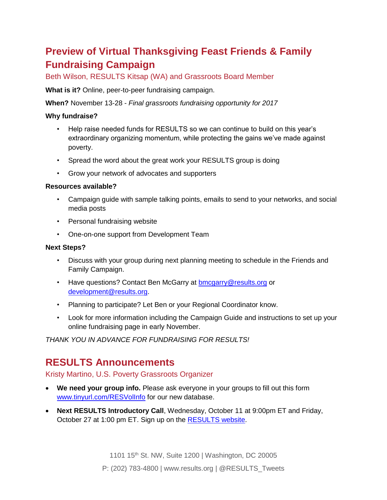# **Preview of Virtual Thanksgiving Feast Friends & Family Fundraising Campaign**

Beth Wilson, RESULTS Kitsap (WA) and Grassroots Board Member

**What is it?** Online, peer-to-peer fundraising campaign.

**When?** November 13-28 - *Final grassroots fundraising opportunity for 2017*

#### **Why fundraise?**

- Help raise needed funds for RESULTS so we can continue to build on this year's extraordinary organizing momentum, while protecting the gains we've made against poverty.
- Spread the word about the great work your RESULTS group is doing
- Grow your network of advocates and supporters

#### **Resources available?**

- Campaign guide with sample talking points, emails to send to your networks, and social media posts
- Personal fundraising website
- One-on-one support from Development Team

#### **Next Steps?**

- Discuss with your group during next planning meeting to schedule in the Friends and Family Campaign.
- Have questions? Contact Ben McGarry at **bmcgarry@results.org** or [development@results.org.](mailto:development@results.org)
- Planning to participate? Let Ben or your Regional Coordinator know.
- Look for more information including the Campaign Guide and instructions to set up your online fundraising page in early November.

*THANK YOU IN ADVANCE FOR FUNDRAISING FOR RESULTS!*

# **RESULTS Announcements**

### Kristy Martino, U.S. Poverty Grassroots Organizer

- **We need your group info.** Please ask everyone in your groups to fill out this form [www.tinyurl.com/RESVolInfo](http://www.tinyurl.com/RESVolInfo) for our new database.
- **Next RESULTS Introductory Call**, Wednesday, October 11 at 9:00pm ET and Friday, October 27 at 1:00 pm ET. Sign up on the [RESULTS website.](http://www.results.org/take_action/become_a_results_activist)